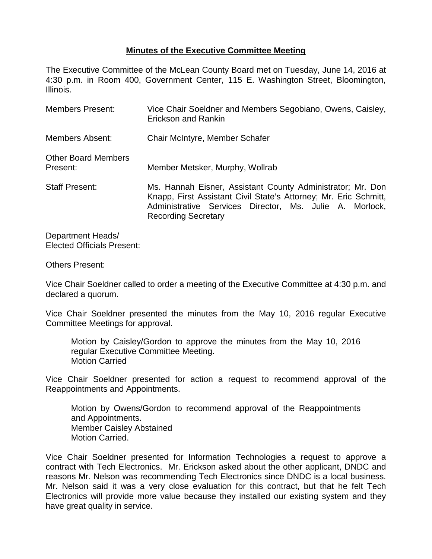## **Minutes of the Executive Committee Meeting**

The Executive Committee of the McLean County Board met on Tuesday, June 14, 2016 at 4:30 p.m. in Room 400, Government Center, 115 E. Washington Street, Bloomington, Illinois.

| Members Present:                       | Vice Chair Soeldner and Members Segobiano, Owens, Caisley,<br>Erickson and Rankin                                                                                                                                       |  |  |
|----------------------------------------|-------------------------------------------------------------------------------------------------------------------------------------------------------------------------------------------------------------------------|--|--|
| <b>Members Absent:</b>                 | Chair McIntyre, Member Schafer                                                                                                                                                                                          |  |  |
| <b>Other Board Members</b><br>Present: | Member Metsker, Murphy, Wollrab                                                                                                                                                                                         |  |  |
| <b>Staff Present:</b>                  | Ms. Hannah Eisner, Assistant County Administrator; Mr. Don<br>Knapp, First Assistant Civil State's Attorney; Mr. Eric Schmitt,<br>Administrative Services Director, Ms. Julie A. Morlock,<br><b>Recording Secretary</b> |  |  |

Department Heads/ Elected Officials Present:

## Others Present:

Vice Chair Soeldner called to order a meeting of the Executive Committee at 4:30 p.m. and declared a quorum.

Vice Chair Soeldner presented the minutes from the May 10, 2016 regular Executive Committee Meetings for approval.

Motion by Caisley/Gordon to approve the minutes from the May 10, 2016 regular Executive Committee Meeting. Motion Carried

Vice Chair Soeldner presented for action a request to recommend approval of the Reappointments and Appointments.

Motion by Owens/Gordon to recommend approval of the Reappointments and Appointments. Member Caisley Abstained Motion Carried.

Vice Chair Soeldner presented for Information Technologies a request to approve a contract with Tech Electronics. Mr. Erickson asked about the other applicant, DNDC and reasons Mr. Nelson was recommending Tech Electronics since DNDC is a local business. Mr. Nelson said it was a very close evaluation for this contract, but that he felt Tech Electronics will provide more value because they installed our existing system and they have great quality in service.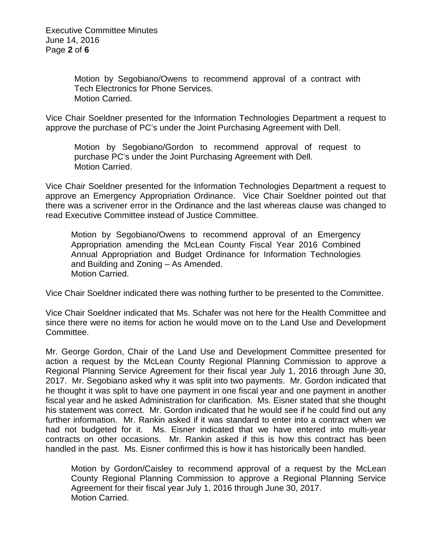Motion by Segobiano/Owens to recommend approval of a contract with Tech Electronics for Phone Services. Motion Carried.

Vice Chair Soeldner presented for the Information Technologies Department a request to approve the purchase of PC's under the Joint Purchasing Agreement with Dell.

Motion by Segobiano/Gordon to recommend approval of request to purchase PC's under the Joint Purchasing Agreement with Dell. Motion Carried.

Vice Chair Soeldner presented for the Information Technologies Department a request to approve an Emergency Appropriation Ordinance. Vice Chair Soeldner pointed out that there was a scrivener error in the Ordinance and the last whereas clause was changed to read Executive Committee instead of Justice Committee.

Motion by Segobiano/Owens to recommend approval of an Emergency Appropriation amending the McLean County Fiscal Year 2016 Combined Annual Appropriation and Budget Ordinance for Information Technologies and Building and Zoning – As Amended. Motion Carried.

Vice Chair Soeldner indicated there was nothing further to be presented to the Committee.

Vice Chair Soeldner indicated that Ms. Schafer was not here for the Health Committee and since there were no items for action he would move on to the Land Use and Development Committee.

Mr. George Gordon, Chair of the Land Use and Development Committee presented for action a request by the McLean County Regional Planning Commission to approve a Regional Planning Service Agreement for their fiscal year July 1, 2016 through June 30, 2017. Mr. Segobiano asked why it was split into two payments. Mr. Gordon indicated that he thought it was split to have one payment in one fiscal year and one payment in another fiscal year and he asked Administration for clarification. Ms. Eisner stated that she thought his statement was correct. Mr. Gordon indicated that he would see if he could find out any further information. Mr. Rankin asked if it was standard to enter into a contract when we had not budgeted for it. Ms. Eisner indicated that we have entered into multi-year contracts on other occasions. Mr. Rankin asked if this is how this contract has been handled in the past. Ms. Eisner confirmed this is how it has historically been handled.

Motion by Gordon/Caisley to recommend approval of a request by the McLean County Regional Planning Commission to approve a Regional Planning Service Agreement for their fiscal year July 1, 2016 through June 30, 2017. Motion Carried.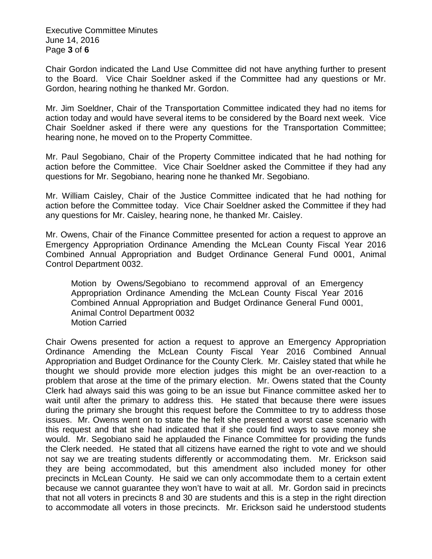Executive Committee Minutes June 14, 2016 Page **3** of **6**

Chair Gordon indicated the Land Use Committee did not have anything further to present to the Board. Vice Chair Soeldner asked if the Committee had any questions or Mr. Gordon, hearing nothing he thanked Mr. Gordon.

Mr. Jim Soeldner, Chair of the Transportation Committee indicated they had no items for action today and would have several items to be considered by the Board next week. Vice Chair Soeldner asked if there were any questions for the Transportation Committee; hearing none, he moved on to the Property Committee.

Mr. Paul Segobiano, Chair of the Property Committee indicated that he had nothing for action before the Committee. Vice Chair Soeldner asked the Committee if they had any questions for Mr. Segobiano, hearing none he thanked Mr. Segobiano.

Mr. William Caisley, Chair of the Justice Committee indicated that he had nothing for action before the Committee today. Vice Chair Soeldner asked the Committee if they had any questions for Mr. Caisley, hearing none, he thanked Mr. Caisley.

Mr. Owens, Chair of the Finance Committee presented for action a request to approve an Emergency Appropriation Ordinance Amending the McLean County Fiscal Year 2016 Combined Annual Appropriation and Budget Ordinance General Fund 0001, Animal Control Department 0032.

Motion by Owens/Segobiano to recommend approval of an Emergency Appropriation Ordinance Amending the McLean County Fiscal Year 2016 Combined Annual Appropriation and Budget Ordinance General Fund 0001, Animal Control Department 0032 Motion Carried

Chair Owens presented for action a request to approve an Emergency Appropriation Ordinance Amending the McLean County Fiscal Year 2016 Combined Annual Appropriation and Budget Ordinance for the County Clerk. Mr. Caisley stated that while he thought we should provide more election judges this might be an over-reaction to a problem that arose at the time of the primary election. Mr. Owens stated that the County Clerk had always said this was going to be an issue but Finance committee asked her to wait until after the primary to address this. He stated that because there were issues during the primary she brought this request before the Committee to try to address those issues. Mr. Owens went on to state the he felt she presented a worst case scenario with this request and that she had indicated that if she could find ways to save money she would. Mr. Segobiano said he applauded the Finance Committee for providing the funds the Clerk needed. He stated that all citizens have earned the right to vote and we should not say we are treating students differently or accommodating them. Mr. Erickson said they are being accommodated, but this amendment also included money for other precincts in McLean County. He said we can only accommodate them to a certain extent because we cannot guarantee they won't have to wait at all. Mr. Gordon said in precincts that not all voters in precincts 8 and 30 are students and this is a step in the right direction to accommodate all voters in those precincts. Mr. Erickson said he understood students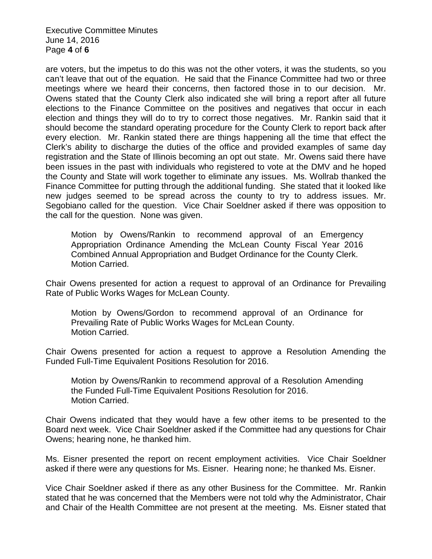Executive Committee Minutes June 14, 2016 Page **4** of **6**

are voters, but the impetus to do this was not the other voters, it was the students, so you can't leave that out of the equation. He said that the Finance Committee had two or three meetings where we heard their concerns, then factored those in to our decision. Mr. Owens stated that the County Clerk also indicated she will bring a report after all future elections to the Finance Committee on the positives and negatives that occur in each election and things they will do to try to correct those negatives. Mr. Rankin said that it should become the standard operating procedure for the County Clerk to report back after every election. Mr. Rankin stated there are things happening all the time that effect the Clerk's ability to discharge the duties of the office and provided examples of same day registration and the State of Illinois becoming an opt out state. Mr. Owens said there have been issues in the past with individuals who registered to vote at the DMV and he hoped the County and State will work together to eliminate any issues. Ms. Wollrab thanked the Finance Committee for putting through the additional funding. She stated that it looked like new judges seemed to be spread across the county to try to address issues. Mr. Segobiano called for the question. Vice Chair Soeldner asked if there was opposition to the call for the question. None was given.

Motion by Owens/Rankin to recommend approval of an Emergency Appropriation Ordinance Amending the McLean County Fiscal Year 2016 Combined Annual Appropriation and Budget Ordinance for the County Clerk. Motion Carried.

Chair Owens presented for action a request to approval of an Ordinance for Prevailing Rate of Public Works Wages for McLean County.

Motion by Owens/Gordon to recommend approval of an Ordinance for Prevailing Rate of Public Works Wages for McLean County. Motion Carried.

Chair Owens presented for action a request to approve a Resolution Amending the Funded Full-Time Equivalent Positions Resolution for 2016.

Motion by Owens/Rankin to recommend approval of a Resolution Amending the Funded Full-Time Equivalent Positions Resolution for 2016. Motion Carried.

Chair Owens indicated that they would have a few other items to be presented to the Board next week. Vice Chair Soeldner asked if the Committee had any questions for Chair Owens; hearing none, he thanked him.

Ms. Eisner presented the report on recent employment activities. Vice Chair Soeldner asked if there were any questions for Ms. Eisner. Hearing none; he thanked Ms. Eisner.

Vice Chair Soeldner asked if there as any other Business for the Committee. Mr. Rankin stated that he was concerned that the Members were not told why the Administrator, Chair and Chair of the Health Committee are not present at the meeting. Ms. Eisner stated that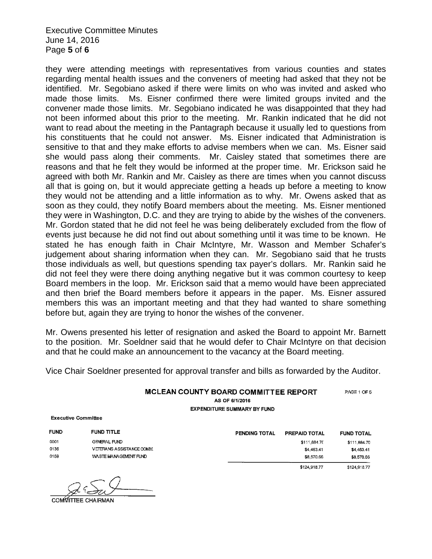Executive Committee Minutes June 14, 2016 Page **5** of **6**

they were attending meetings with representatives from various counties and states regarding mental health issues and the conveners of meeting had asked that they not be identified. Mr. Segobiano asked if there were limits on who was invited and asked who made those limits. Ms. Eisner confirmed there were limited groups invited and the convener made those limits. Mr. Segobiano indicated he was disappointed that they had not been informed about this prior to the meeting. Mr. Rankin indicated that he did not want to read about the meeting in the Pantagraph because it usually led to questions from his constituents that he could not answer. Ms. Eisner indicated that Administration is sensitive to that and they make efforts to advise members when we can. Ms. Eisner said she would pass along their comments. Mr. Caisley stated that sometimes there are reasons and that he felt they would be informed at the proper time. Mr. Erickson said he agreed with both Mr. Rankin and Mr. Caisley as there are times when you cannot discuss all that is going on, but it would appreciate getting a heads up before a meeting to know they would not be attending and a little information as to why. Mr. Owens asked that as soon as they could, they notify Board members about the meeting. Ms. Eisner mentioned they were in Washington, D.C. and they are trying to abide by the wishes of the conveners. Mr. Gordon stated that he did not feel he was being deliberately excluded from the flow of events just because he did not find out about something until it was time to be known. He stated he has enough faith in Chair McIntyre, Mr. Wasson and Member Schafer's judgement about sharing information when they can. Mr. Segobiano said that he trusts those individuals as well, but questions spending tax payer's dollars. Mr. Rankin said he did not feel they were there doing anything negative but it was common courtesy to keep Board members in the loop. Mr. Erickson said that a memo would have been appreciated and then brief the Board members before it appears in the paper. Ms. Eisner assured members this was an important meeting and that they had wanted to share something before but, again they are trying to honor the wishes of the convener.

Mr. Owens presented his letter of resignation and asked the Board to appoint Mr. Barnett to the position. Mr. Soeldner said that he would defer to Chair McIntyre on that decision and that he could make an announcement to the vacancy at the Board meeting.

Vice Chair Soeldner presented for approval transfer and bills as forwarded by the Auditor.

MCLEAN COUNTY BOARD COMMITTEE REPORT PAGE 1 OF 5

AS OF 6/1/2016 **EXPENDITURE SUMMARY BY FUND** 

**Executive Committee** 

**FUND** FUND TITLE 0001 **GENERAL FUND** 0136 **VETERANS ASSISTANCE COMM.** 0159 WASTE MANAGEMENT FUND

| PENDING TOTAL | <b>PREPAID TOTAL</b> | <b>FUND TOTAL</b> |
|---------------|----------------------|-------------------|
|               | \$111,884.70         | \$111,884.70      |
|               | \$4,463.41           | \$4,463.41        |
|               | \$8,570.66           | \$8,570.66        |
|               | \$124,918.77         | \$124,918.77      |

COMMITTEE CHAIRMAN